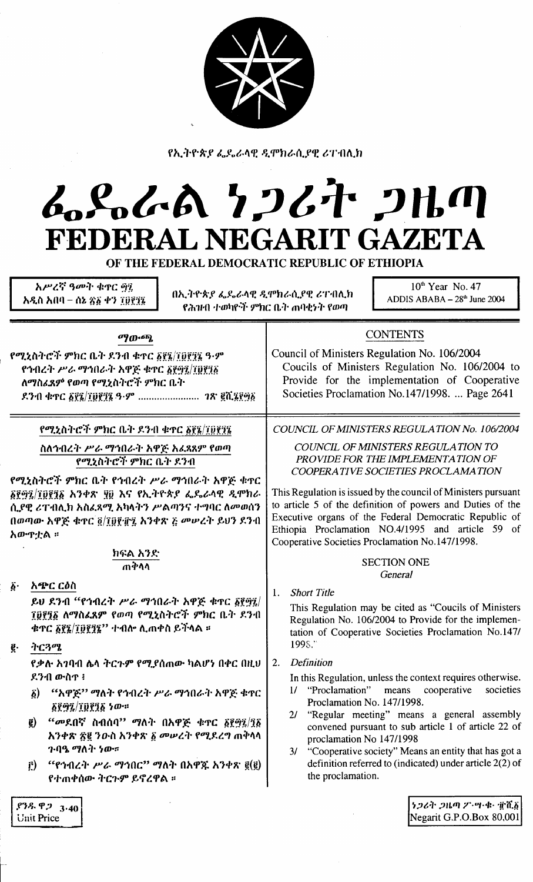

የኢትዮጵያ ፌዴራላዊ ዲሞክራሲያዊ ሪፐብሲክ

# ムらんてん ケンムキ 2HM **GAZETA** FEDERAL NEGARIT

OF THE FEDERAL DEMOCRATIC REPUBLIC OF ETHIOPIA

አሥረኛ ዓመት ቁዋር ዋኚ አዲስ አበባ – ሰኔ ጽ፩ ቀን ፲፱፻፺፯

በኢትዮጵያ ፌዴራላዊ ዲሞክራሲያዊ ሪፐብሊክ የሕዝብ ተወካዮች ምክር ቤት ጠባቂነት የወጣ

 $10<sup>th</sup>$  Year No. 47 ADDIS ABABA  $-28<sup>th</sup>$  June 2004

Negarit G.P.O.Box 80,001

| ማውጫ                                                                                                                                                                                                                                                                                                                         | <b>CONTENTS</b>                                                                                                                                                                                                                                                                                                                                                                                                                                                                                  |  |  |  |
|-----------------------------------------------------------------------------------------------------------------------------------------------------------------------------------------------------------------------------------------------------------------------------------------------------------------------------|--------------------------------------------------------------------------------------------------------------------------------------------------------------------------------------------------------------------------------------------------------------------------------------------------------------------------------------------------------------------------------------------------------------------------------------------------------------------------------------------------|--|--|--|
| የሚኒስትሮች ምክር ቤት ደንብ ቁተር ፩፻፮/፲፬፻፺፮ ዓ·ም<br>የኅብረት ሥራ ማኅበራት አዋጅ ቁተር ፩፻፵፯/፲፱፻፺፩<br>ለማስሪዳም የወጣ የሚኒስትሮች ምክር ቤት<br>ደንብ ቁጥር ፩፻፮/፲፱፻፺፮ ዓ·ም <i>ገጽ</i> ፪ሺ፮፻፵፩                                                                                                                                                                            | Council of Ministers Regulation No. 106/2004<br>Coucils of Ministers Regulation No. 106/2004 to<br>Provide for the implementation of Cooperative<br>Societies Proclamation No.147/1998.  Page 2641                                                                                                                                                                                                                                                                                               |  |  |  |
| የሚኒስትሮች ምክር ቤት ደንብ ቁተር ፩፻፮/፲፬፻፺፮<br>ስለኅብረት ሥራ ማኅበራት አዋጅ አፌጻጸም የወጣ<br>የሚኒስትሮች ምክር ቤት ደንብ<br>የሚኒስትሮች ምክር ቤት የኅብረት ሥራ ማኅበራት አዋጅ ቁዋር<br>δጀማ፯/፲፬፻፺፩ አንቀጽ ፶፬ እና የኢትዮጵያ ፌዴራላዊ ዲሞክራ<br>ሲያዊ ሪፐብሊክ አስፈጻሚ አካላትን ሥልጣንና ተግባር ለመወሰን                                                                                                       | COUNCIL OF MINISTERS REGULATION No. 106/2004<br>COUNCIL OF MINISTERS REGULATION TO<br>PROVIDE FOR THE IMPLEMENTATION OF<br>COOPERATIVE SOCIETIES PROCLAMATION<br>This Regulation is issued by the council of Ministers pursuant<br>to article 5 of the definition of powers and Duties of the<br>Executive organs of the Federal Democratic Republic of<br>Ethiopia Proclamation NO.4/1995 and article 59 of<br>Cooperative Societies Proclamation No.147/1998.<br><b>SECTION ONE</b><br>General |  |  |  |
| በወጣው አዋጅ ቁዋር ፬/፲፱፻፹፯ አንቀጽ ፩ መሥረት ይህን ደንብ<br>አውዋቷል ፡፡<br>ክፍል አንድ<br>ጠቅሳሳ                                                                                                                                                                                                                                                     |                                                                                                                                                                                                                                                                                                                                                                                                                                                                                                  |  |  |  |
| አጭር ርዕስ<br>$\vec{\phi}$ .<br>ይህ ደንብ "የኅብረት ሥራ ማኅበራት አዋጅ ቁጥር ፩፻፵፯/<br>፲፱፻፺፩ ለማስፈጸም የወጣ የሚኒስትሮች ምክር ቤት ደንብ<br>ቁጥር ፩፻፮/፲፬፻፺፮'' ተብሎ ሲጠቀስ ይችላል ።<br>ትርጓሜ<br>ę.                                                                                                                                                                   | <b>Short Title</b><br>1.<br>This Regulation may be cited as "Coucils of Ministers"<br>Regulation No. 106/2004 to Provide for the implemen-<br>tation of Cooperative Societies Proclamation No.147/<br>1998."                                                                                                                                                                                                                                                                                     |  |  |  |
| የቃሉ አገባብ ሌላ ትርጉም የሚያሰጠው ካልሆነ በቀር በዚህ<br>ደንብ ውስዋ ፥<br>"አዋጅ" ማለት የኅብረት ሥራ ማኅበራት አዋጅ ቁጥር<br>$\delta$<br><u>δየማ፯/፲፱፻፺፩</u> ነው።<br>"መደበኛ ስብሰባ" ማለት በአዋጅ ቁጥር ፩፻፵፯/፺፩<br>$\tilde{g}$<br>አንቀጽ ፳፪ ንውስ አንቀጽ ፩ መሥረት የሚደረግ ጠቅላላ<br>ን ባዔ ማለት <i>ነ</i> ው።<br>"የኅብረት ሥራ ማኅበር" ማለት በአዋጁ አንቀጽ ፪(፪)<br>$\hat{\Gamma}$<br>የተጠቀሰው ትርጉም ይኖረዋል ፡፡ | Definition<br>2.<br>In this Regulation, unless the context requires otherwise.<br>cooperative<br>"Proclamation"<br>societies<br>means<br>$\frac{1}{2}$<br>Proclamation No. 147/1998.<br>2/ "Regular meeting" means a general assembly<br>convened pursuant to sub article 1 of article 22 of<br>proclamation No 147/1998<br>3/ "Cooperative society" Means an entity that has got a<br>definition referred to (indicated) under article $2(2)$ of<br>the proclamation.                           |  |  |  |
| [938.923.40]                                                                                                                                                                                                                                                                                                                | ንጋሪት ጋዜጣ ፖ·ሣ·ቁ· ፹ሺ፩                                                                                                                                                                                                                                                                                                                                                                                                                                                                              |  |  |  |

|            | P38.923.40 |
|------------|------------|
| Unit Price |            |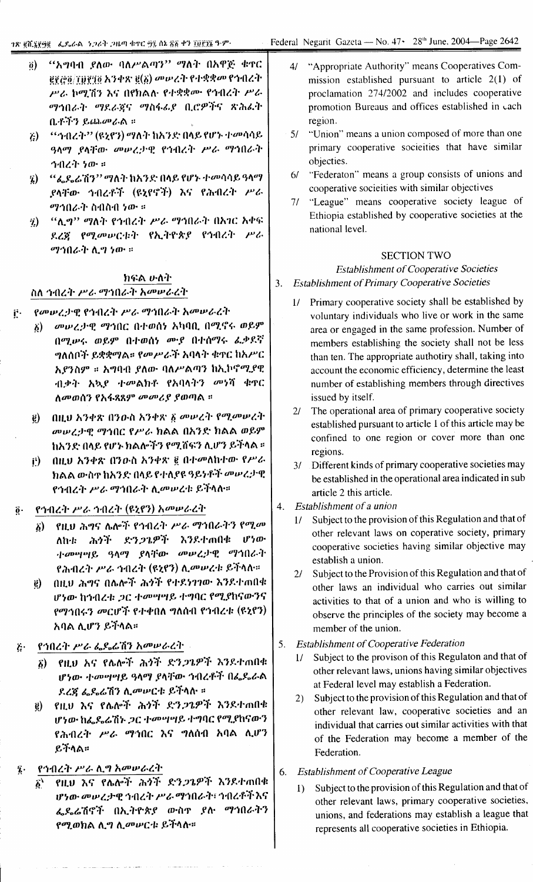- "አግባብ ያለው ባለሥልጣን" ማለት በአዋጅ ቁዋር  $\ddot{\mathbf{0}}$  $g_{\ell}$ ርያ $g_{\ell}$ ፲፱፻፶፬ አንቀጽ  $g(\delta)$  መሠረት የተቋቋመ የኅብረት ሥራ ኮሚሽን እና በየክልሉ የተቋቋሙ የኅብረት ሥራ ማኅበራት ማደራጀና ማስፋፊያ ቢሮዎችና ጽሕፈት በ.ቶችን ይጨመራል ።
- *''ኅብረት''* (ዩኒኖን) ማለት ከአንድ በላይ የሆኑ ተመሳሳይ  $\ddot{c}$ ዓላማ ያላቸው መሥረታዊ የኅብረት ሥራ ማኅበራት ኅብረት ነው።
- "ፌዶሬሽን" ማለት ከአንድ በላይ የሆኑ ተመሳሳይ ዓላማ 'i) ያላቸው ኅብረቶች (ዩኒየኖች) እና የሕብረት ሥራ *ማኅበራት* ስብስብ ነው ።
- "ሊማ" ማለት የኅብረት ሥራ ማኅበራት በአገር አቀፍ <sup>2</sup> ደረጀ የሚመሠርቱት የኢትዮጵያ የኅብረት ሥራ ማኅበራት ሊግ ነው ።

# ክፍል ሁለት

# ስለ ኅብረት ሥራ ማኅበራት አመሠራረት

- የመሠረታዊ የኅብረት ሥራ ማኅበራት አመሠራረት ë.
	- δ) መሠረታዊ ማኅበር በተወሰነ አካባቢ በሚኖሩ ወይም በሚሥሩ ወይም በተወሰነ ሙያ በተሰማሩ ፌቃደኛ *ግ*ለሰቦች ይቋቋማል። የመሥራች አባላት ቁዋር ከአሥር አያንስም ። አግባብ ያለው ባለሥልጣን ከኢኮኖሚያዊ ብቃት አኳ*ያ ተመ*ልክቶ የአባላትን መነሻ ቁዋር ለመወሰን የአፋጻጸም መመሪያ ያወጣል ፡፡
	- ፪) በዚህ አንቀጽ በንዑስ አንቀጽ ፩ መሠረት የሚመሠረት መሥረታዊ ማኅበር የሥራ ክልል በአንድ ክልል ወይም ከአንድ በላይ የሆኑ ክልሎችን የሚሸፍን ሊሆን ይችላል ።
	- በዚህ አንቀጽ በንውስ አንቀጽ ፪ በተመለከተው የሥራ Ê). ክልል ውስዋ ከአንድ በላይ የተለያዩ ዓይነቶች መሠረታዊ የኅብረት ሥራ ማኅበራት ሊመሠረቱ ይችላሉ።

#### የኅብረት ሥራ ኅብረት (ዩኒየን) አመሠራረት  $\ddot{\mathbf{0}}\cdot$

- የዚህ ሕግና ሌሎች የኅብረት ሥራ ማኅበራትን የሚመ 5) — ለከቱ ሕጎች ድን*ጋጌ*ዎች እንደተጠበቁ ሆነው ተመሣሣይ ዓላማ ያላቸው መሠረታዊ ማኅበራት የሕብረት ሥራ ኅብረት (ዩኒየን) ሊመሠረቱ ይችላሉ።
- በዚህ ሕግና በሌሎች ሕጎች የተደ577ው እንደተጠበቁ @) ሆነው ከኅብረቱ ጋር ተመሣሣይ ተግባር የሚያከናውንና የማኅበሩን መርሆች የተቀበለ ግለሰብ የኅብረቱ (ዩኒየን) አባል ሊሆን ይችላል።
- የኅበረት ሥራ ፌዴሬሽን አመሠራረት  $\ddot{c}$ 
	- የዚህ እና የሌሎች ሕጎች ድንጋጌዎች እንደተጠበቁ  $\delta$ ) ሆነው ተመሣሣይ ዓላማ ያላቸው ኅብረቶች በፌዴራል ደረጀ ፌዴሬሽን ሊመሥርቱ ይችላሉ ።
	- የዚህ እና የሌሎች ሕጎች ድን*ጋጌዎች* እንደተጠበቁ ë) ሆነው ከፌዶፌሽኑ ጋር ተመሣሣይ ተግባር የሚያከናውን የሕብረት ሥራ ማኅበር እና ግለሰብ አባል ሲሆን ይችላል።

#### የኅብረት ሥራ ሲግ አመሠራረት  $\mathbf{\bar{z}}$  .

የዚህ እና የሌሎች ሕጎች ድንጋጌዎች እንደተጠበቁ ሆነው መሠረታዊ ኅብረት ሥራ ማኅበራት፣ ኅብረቶች እና ፌዶሬሽኖች በኢትዮጵያ ውስኖ ያሉ ማኅበራትን የሚወክል ሊግ ሊመሥርቱ ይችላሉ።

- "Appropriate Authority" means Cooperatives Com- $\overline{41}$ mission established pursuant to article  $2(1)$  of proclamation 274/2002 and includes cooperative promotion Bureaus and offices established in cach region.
- 5/ "Union" means a union composed of more than one primary cooperative socieities that have similar objecties.
- "Federaton" means a group consists of unions and  $6/$ cooperative socieities with similar objectives
- $71$ "League" means cooperative society league of Ethiopia established by cooperative societies at the national level.

#### **SECTION TWO**

# **Establishment of Cooperative Societies** 3. Establishment of Primary Cooperative Societies

- Primary cooperative society shall be established by  $1/$ voluntary individuals who live or work in the same area or engaged in the same profession. Number of members establishing the society shall not be less than ten. The appropriate authotiry shall, taking into account the economic efficiency, determine the least number of establishing members through directives
- The operational area of primary cooperative society  $21$ established pursuant to article 1 of this article may be confined to one region or cover more than one regions.
- 3/ Different kinds of primary cooperative societies may be established in the operational area indicated in sub article 2 this article.

#### $4.$ Establishment of a union

issued by itself.

- Subject to the provision of this Regulation and that of  $1/$ other relevant laws on coperative society, primary cooperative societies having similar objective may establish a union.
- Subject to the Provision of this Regulation and that of  $21$ other laws an individual who carries out similar activities to that of a union and who is willing to observe the principles of the society may become a member of the union.
- **Establishment of Cooperative Federation** 5.
	- Subject to the provison of this Regulaton and that of  $1/$ other relevant laws, unions having similar objectives at Federal level may establish a Federation.
	- $2)$ Subject to the provision of this Regulation and that of other relevant law, cooperative societies and an individual that carries out similar activities with that of the Federation may become a member of the Federation.
- **Establishment of Cooperative League** 6.
	- Subject to the provision of this Regulation and that of  $1)$ other relevant laws, primary cooperative societies, unions, and federations may establish a league that represents all cooperative societies in Ethiopia.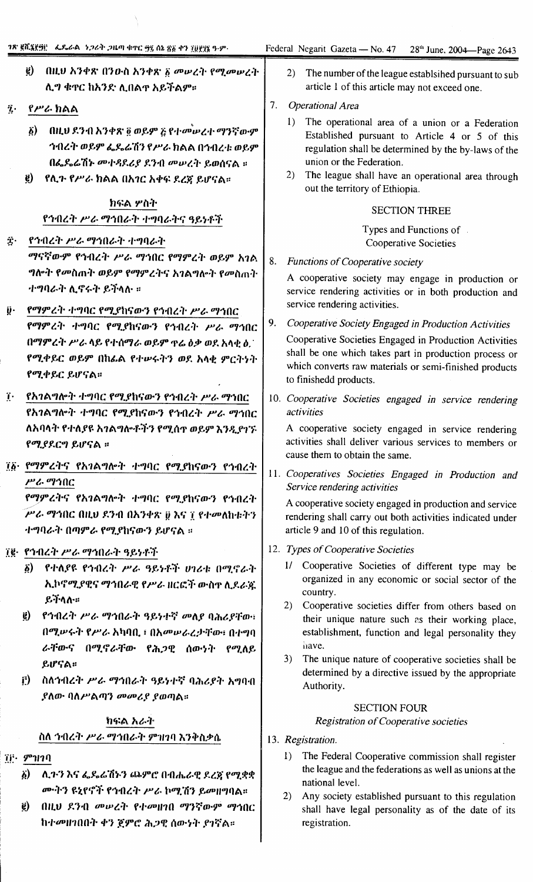- ፪) በዚህ አንቀጽ በንዑስ አንቀጽ *δ መ*ሠረት የሚመሠረት ሊግ ቁዋር ከአንድ ሊበልዋ አይችልም።
- $\ddot{\imath}$ . የሥራ ክልል
	- ፩) በዚህ ደንብ አንቀጽ ፬ ወይም ፩ የተመሠረተ ማንኛውም ኅብረት ወይም ፌዴሬሽን የሥራ ክልል በኅብረቱ ወይም በፌዴሬሽኑ መተዳደሪያ ደንብ መሠረት ይወሰናል ።
	- e) የሊጉ የሥራ ክልል በአ*ገር አቀፍ ደረ*ኛ ይሆናል።

# ክፍል ሦስት የኅብረት ሥራ ማኅበራት ተግባራትና ዓይነቶች

- Ϋ́ የኅብረት ሥራ ማኅበራት ተግባራት ማናኛውም የኅብረት ሥራ ማኅበር የማምረት ወይም አገል ግሎት የመስጠት ወይም የማምረትና አገልግሎት የመስጠት ተግባራት ሊኖሩት ይችላሉ ።
- የማምረት ተግባር የሚያከናውን የኅብረት ሥራ ማኅበር ij. የማምረት ተግባር የሚያከናውን የኅብረት ሥራ ማኅበር በማምረት ሥራ ላይ የተሰማራ ወይም ዋሬ ዕቃ ወደ አላቂ ዕ. የሚቀይር ወይም በከፌል የተሥሩትን ወደ አላቂ ምርትነት የሚቀይር ይሆናል።
- የአንልግሎት ተግባር የሚያከናውን የኅብረት ሥራ ማኅበር T. የአገልግሎት ተግባር የሚያከናውን የኅብረት ሥራ ማኅበር ለአባላት የተለያዩ አገልግሎቶችን የሚሰዋ ወይም እንዲያገኙ የሚያደርግ ይሆናል ።
- ፲፩· የማምረትና የአገልግሎት ተግባር የሚያከናውን የኅብረት ሥራ ማኅበር የማምረትና የአንልግሎት ተግባር የሚያከናውን የኅብረት

ሥራ ማኅበር በዚህ ደንብ በአንቀጽ ፱ እና ፲ የተመለከቱትን ተግባራት በጣምራ የሚያከናውን ይሆናል ።

- ፲፪· የኅብረት ሥራ ማኅበራት ዓይነቶች
	- ፩) የተለያዩ የኅብረት ሥራ ዓይነቶች ሀገሪቱ በሚኖራት ኢኮኖሚያዊና ማኅበራዊ የሥራ ዘርፎች ውስዋ ሲደራጁ ይችላሉ።
	- ፪) የኅብረት ሥራ ማኅበራት ዓይነተኛ መለያ ባሕሪያቸው፣ በሚሥሩት የሥራ አካባቢ ፣ በአመሥራረታቸው፣ በተግባ ራቸውና በሚኖራቸው የሕጋዊ ሰውነት የሚለይ ይሆናል።
	- ስለኅብረት ሥራ ማኅበራት ዓይነተኛ ባሕሪያት አግባብ F) ያለው ባለሥልጣን መመሪያ ያወጣል።

# ክፍል አራት ስለ ኅብረት ሥራ ማኅበራት ምዝገባ እንቅስቃሴ

- $\tilde{\mathbf{H}}$ : *T*<sup>o</sup> $\mathbf{H}$ 
	- ለ.ጉን እና ፌዴሬሽኑን ጨምሮ በብሔራዊ ደረጀ የሚቋቋ  $\delta$ ) ሙትን ዩኒየኖች የኅብረት ሥራ ኮሚሽን ይመዘግባል።
	- ë) በዚህ ደንብ መሠረት የተመዘገበ ማንኛውም ማኅበር ከተመዘገበበት ቀን ጀምሮ ሕጋዊ ሰውነት ያገኛል።
- 2) The number of the league establsihed pursuant to sub article 1 of this article may not exceed one.
- 7. Operational Area
	- 1) The operational area of a union or a Federation Established pursuant to Article 4 or 5 of this regulation shall be determined by the by-laws of the union or the Federation.
	- 2) The league shall have an operational area through out the territory of Ethiopia.

#### **SECTION THREE**

Types and Functions of. **Cooperative Societies** 

8. **Functions of Cooperative society** 

> A cooperative society may engage in production or service rendering activities or in both production and service rendering activities.

9. Cooperative Society Engaged in Production Activities

Cooperative Societies Engaged in Production Activities shall be one which takes part in production process or which converts raw materials or semi-finished products to finishedd products.

10. Cooperative Societies engaged in service rendering *activities* 

A cooperative society engaged in service rendering activities shall deliver various services to members or cause them to obtain the same.

11. Cooperatives Societies Engaged in Production and Service rendering activities

A cooperative society engaged in production and service rendering shall carry out both activities indicated under article 9 and 10 of this regulation.

- 12. Types of Cooperative Societies
	- 1/ Cooperative Societies of different type may be organized in any economic or social sector of the country.
	- $2)$ Cooperative societies differ from others based on their unique nature such as their working place, establishment, function and legal personality they have.
	- $3)$ The unique nature of cooperative societies shall be determined by a directive issued by the appropriate Authority.

# **SECTION FOUR**

### **Registration of Cooperative societies**

- 13. Registration.
	- $1)$ The Federal Cooperative commission shall register the league and the federations as well as unions at the national level.
	- 2) Any society established pursuant to this regulation shall have legal personality as of the date of its registration.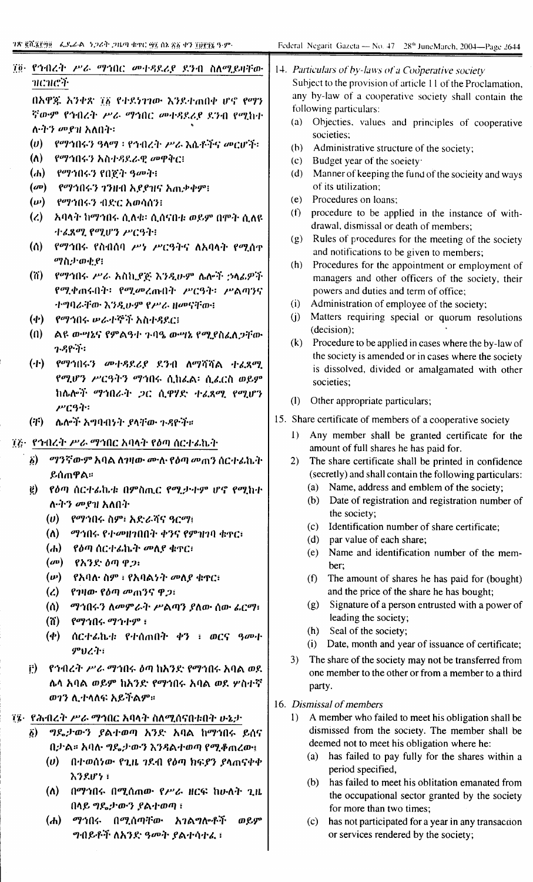| ፲፬ የኅብረት ሥራ ማኅበር መተዳደሪያ ደንብ ስለሚይዛቸው<br>าเดาเติรี<br>በአዋጇ አንቀጽ ፲፩ የተደነገገው እንደተጠበቀ ሆኖ የማን<br>ኛውም የኅብረት ሥራ ማኅበር መተዳደሪያ ደንብ የሚከተ<br>ለ•ትን መያዝ አለበት፡<br>(v)<br>የማኅበሩን ዓላማ ፡ የኅብረት ሥራ እሴቶችና መርሆች፡<br>$(\Lambda)$<br>የማኅበሩን አስተዳደራዊ መዋቅር፤<br>$(d_0)$<br>የማኅበሩን የበጀት ዓመት።<br>$(\omega)$<br>የማኅበሩን ገንዙበ አደደዝና አሒቃቀም፡<br>$(\boldsymbol{\omega})$<br>.የማኅበሩን ብድር አወሳሰን!<br>$\mathcal{L}$<br>አባላት ከማኅበሩ ሲለቁ፡ ሲሰናቡቱ ወይም በምት ሲለዩ<br>ተፈጸሚ የሚሆን ሥርዓት፥<br>$\omega$<br>የማኅበሩ የስብሰባ ሥነ ሥርዓትና ለአባላት የሚሰዋ<br>ማስታወቂያ፧<br>(n)<br>የማኅበሩ ሥራ አስኪያጅ እንዲሁም ሴሎች ኃላፊዎች<br>የሚቀጠሩበት፡ የሚመረጡበት ሥርዓት፡ ሥልጣንና<br>ተግባራቸው እንዲሁም የሥራ ዘመናቸው፡<br>የማኅበሩ ሥራተኞች አስተዳደር፤<br>$(\Phi)$<br>(n)<br>ልዩ ውሣኔና የምልዓተ ጉባዔ ውሣኔ የሚያስፈለጋቸው<br>$7 - 9$ $9 - 7$<br>(r)<br>የማኅበሩን መተዳደሪያ ደንብ ለማሻሻል ተፈጸማ<br>የሚሆን ሥርዓትን ማኅበሩ ሲከፌል፡ ሲፌርስ ወይም<br>ከሴሎች ማኅበራት ጋር ሲዋሃድ ተፈጸሚ የሚሆን<br>$\mu$ ርዓት፡<br>(F)<br>ሌሎች አግባብሃት ያላቸው ጉዳዮች።<br>፲፫• የኅብረት ሥራ ማኅበር አባላት የዕጣ ሰርተፊኬት<br>ማንኛውም አባል ለገዛው ሙሉ የዕጣ መጠን ሰርተፊኬት<br>$\ddot{\theta}$<br>ይሰጠዋል።<br>የዕጣ ሰርተራኬቱ በምስጢር የሚታተም ሆኖ የሚከተ<br>$\ddot{e}$ | 14. Particulars of by-laws of a Cooperative society<br>Subject to the provision of article 11 of the Proclamation,<br>any by-law of a cooperative society shall contain the<br>following particulars:<br>Objecties, values and principles of cooperative<br>(a)<br>societies;<br>Administrative structure of the society;<br>(b)<br>Budget year of the society:<br>(c)<br>Manner of keeping the fund of the socieity and ways<br>(d)<br>of its utilization:<br>Procedures on loans;<br>(e)<br>procedure to be applied in the instance of with-<br>(f)<br>drawal, dismissal or death of members;<br>Rules of procedures for the meeting of the society<br>(g)<br>and notifications to be given to members;<br>Procedures for the appointment or employment of<br>(h)<br>managers and other officers of the society, their<br>powers and duties and term of office;<br>Administration of employee of the society;<br>(i)<br>Matters requiring special or quorum resolutions<br>(i)<br>(decision);<br>Procedure to be applied in cases where the by-law of<br>(k)<br>the society is amended or in cases where the society<br>is dissolved, divided or amalgamated with other<br>societies;<br>(1)<br>Other appropriate particulars;<br>15. Share certificate of members of a cooperative society<br>Any member shall be granted certificate for the<br>$\bf{I}$<br>amount of full shares he has paid for.<br>2)<br>The share certificate shall be printed in confidence<br>(secretly) and shall contain the following particulars: |  |  |  |
|-----------------------------------------------------------------------------------------------------------------------------------------------------------------------------------------------------------------------------------------------------------------------------------------------------------------------------------------------------------------------------------------------------------------------------------------------------------------------------------------------------------------------------------------------------------------------------------------------------------------------------------------------------------------------------------------------------------------------------------------------------------------------------------------------------------------------------------------------------------------------------------------------------------------------------------------------------------------------------------------------------------------|---------------------------------------------------------------------------------------------------------------------------------------------------------------------------------------------------------------------------------------------------------------------------------------------------------------------------------------------------------------------------------------------------------------------------------------------------------------------------------------------------------------------------------------------------------------------------------------------------------------------------------------------------------------------------------------------------------------------------------------------------------------------------------------------------------------------------------------------------------------------------------------------------------------------------------------------------------------------------------------------------------------------------------------------------------------------------------------------------------------------------------------------------------------------------------------------------------------------------------------------------------------------------------------------------------------------------------------------------------------------------------------------------------------------------------------------------------------------------------------------------------------------------------|--|--|--|
| ለ•ትን መያዝ አለበት<br>የማኅበሩ ስም፥ አድራሻና ዓርማ፥<br>(v)                                                                                                                                                                                                                                                                                                                                                                                                                                                                                                                                                                                                                                                                                                                                                                                                                                                                                                                                                                    | Date of registration and registration number of<br>(b)<br>the society;<br>Identification number of share certificate;<br>(c)                                                                                                                                                                                                                                                                                                                                                                                                                                                                                                                                                                                                                                                                                                                                                                                                                                                                                                                                                                                                                                                                                                                                                                                                                                                                                                                                                                                                    |  |  |  |
| $(\Lambda)$<br>ማኅበሩ የተመዘገበበት ቀንና የምዝገባ ቁዋር፣<br>(h)<br>የዕጣ ሰርተፊኬት መለያ ቁዋር፤                                                                                                                                                                                                                                                                                                                                                                                                                                                                                                                                                                                                                                                                                                                                                                                                                                                                                                                                       | par value of each share;<br>(d)<br>Name and identification number of the mem-<br>(e)                                                                                                                                                                                                                                                                                                                                                                                                                                                                                                                                                                                                                                                                                                                                                                                                                                                                                                                                                                                                                                                                                                                                                                                                                                                                                                                                                                                                                                            |  |  |  |
| $(\omega)$<br>የአንድ ዕጣ ዋጋ፡<br>$(\boldsymbol{\nu})$<br>የአባለ· ስም ፣ የአባልነት መለያ ቁዋር፣<br>የገዛው የዕጣ መጠንና ዋጋ፤<br>$\mathcal{L}$<br>(<br>ማኅበሩን ለመምራት ሥልጣን ያለው ሰው ፊርማ፣<br>(n)<br>99105.91199:<br>$(\boldsymbol{\phi})$<br>ሰርተራኬቱ የተሰጠበት ቀን ፣ ወርና ዓመት<br>ምህረት፣                                                                                                                                                                                                                                                                                                                                                                                                                                                                                                                                                                                                                                                                                                                                                               | ber;<br>The amount of shares he has paid for (bought)<br>(f)<br>and the price of the share he has bought;<br>Signature of a person entrusted with a power of<br>(g)<br>leading the society;<br>Seal of the society;<br>(h)<br>Date, month and year of issuance of certificate;<br>(i)<br>3)<br>The share of the society may not be transferred from                                                                                                                                                                                                                                                                                                                                                                                                                                                                                                                                                                                                                                                                                                                                                                                                                                                                                                                                                                                                                                                                                                                                                                             |  |  |  |
| የኅብረት ሥራ ማኅበሩ ዕጣ ከአንድ የማኅበሩ አባል ወደ<br>$\ddot{r}$<br>ሌላ አባል ወይም ከአንድ የማኅበሩ አባል ወደ ሦስተኛ<br>ወገን ሲተላለፍ አይችልም።                                                                                                                                                                                                                                                                                                                                                                                                                                                                                                                                                                                                                                                                                                                                                                                                                                                                                                       | one member to the other or from a member to a third<br>party.<br>16. Dismissal of members                                                                                                                                                                                                                                                                                                                                                                                                                                                                                                                                                                                                                                                                                                                                                                                                                                                                                                                                                                                                                                                                                                                                                                                                                                                                                                                                                                                                                                       |  |  |  |
| ፲፮·  የሕብረት ሥራ ማኅበር አባላት ስለሚሰናበቱበት ሁኔታ<br><i>ግ</i> ዴታውን ያልተወጣ አንድ አባል ከማኅበሩ ይሰና<br>$\tilde{\mathbf{b}}$<br>በታል። አባሉ ግዴታውን እንዳልተወጣ የሚቆጠረው፤<br>በተወሰነው የጊዜ ገዶብ የዕጣ ክፍያን ያላጠናቀቀ<br>(v)<br>አንደሆነ ፣<br>$(\Lambda)$<br>በማኅበሩ በሚሰጠው የሥራ ዘርፍ ከሁለት ጊዜ<br>በላይ ግዴታውን ያልተወጣ ፣                                                                                                                                                                                                                                                                                                                                                                                                                                                                                                                                                                                                                                                                                                                                                 | A member who failed to meet his obligation shall be<br>1)<br>dismissed from the society. The member shall be<br>deemed not to meet his obligation where he:<br>has failed to pay fully for the shares within a<br>$\left( a\right)$<br>period specified,<br>has failed to meet his oblitation emanated from<br>(b)<br>the occupational sector granted by the society<br>for more than two times;                                                                                                                                                                                                                                                                                                                                                                                                                                                                                                                                                                                                                                                                                                                                                                                                                                                                                                                                                                                                                                                                                                                                |  |  |  |

- *ማኅ*በሩ በሚሰጣቸው  $(d_0)$ አገልግሎቶች ወይም ግብይቶች ለአንድ ዓመት ያልተሳተፈ፣
- (c) has not participated for a year in any transaction or services rendered by the society;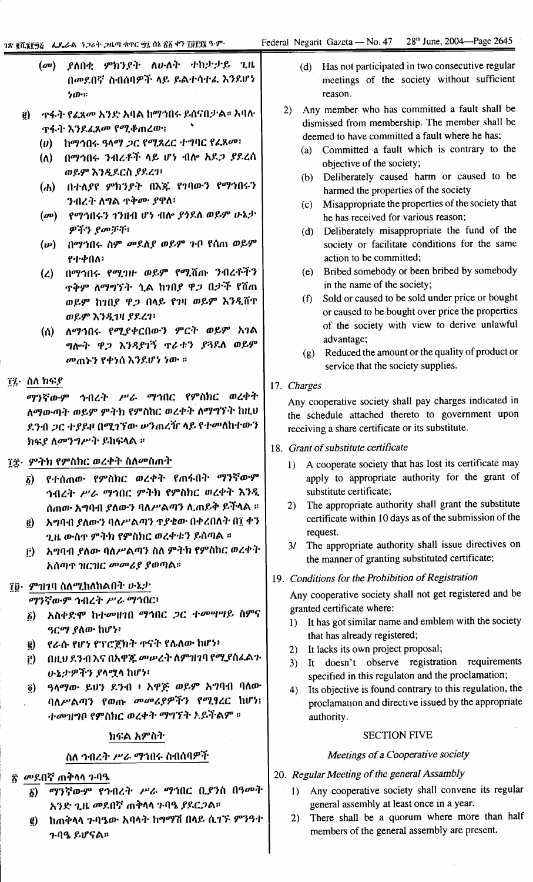|     |  | (መ) ያለበቂ ምክንያት ለሁለት ተከታታይ ጊዜ |  |
|-----|--|------------------------------|--|
|     |  | በመደበኛ ስብሰባዎች ላይ ይልተሳተሬ እንደሆነ |  |
| ንሙ። |  |                              |  |

- $\vec{e}$ ዋፋት እንደፈጸ*መ የሚቆ*ጠረው፡፡
	- $(v)$  ከማኅበሩ ዓላማ ጋር የሚጸረር ተግባር የፈጸመ፡
	- (ለ) በማኅበሩ ንብረቶች ላይ ሆነ ብሎ አደ*ጋ ያ*ደረሰ ወይም እንዲደርስ ያደረገ፡
	- (ሐ) በተለያየ ምክንያት በእጁ የገባውን የማኅበሩን ንብረት ለግል ዋቅም ያዋለ፡
	- (መ) የማኅበሩን ገንዙብ ሆነ ብሎ ያጎደለ ወይም ሁኔታ  $\varphi$ ችን ያመቻቸ፥
	- (ሥ) በማኅበሩ ስም መደለያ ወይም ጉቦ የሰጠ ወይም የተቀበለ፥
	- (ረ) በማኅበሩ የሚገዙ ወይም የሚሸጡ ንብረቶችን ዋቅም ለማግኘት ሲል ከ1በ*ያ ዋጋ* በታች የሽጠ ወይም ከኀበያ ዋጋ በላይ የኀዛ ወይም እንዲሸጥ ወይም እንዲገዛ ያደረገ፡
	- (ሰ) ለማኅበሩ የሚያቀርበውን ምርት ወይም አገል ግሎት ዋጋ እንዳያገኝ ጥራቱን ያጓደለ ወይም መጠኑን የቀነሰ እንደሆነ ነው ።
- ፲፯· ስለ ክፍደ

ማንኛውም ኅብረት ሥራ ማኅበር የምስክር ወረቀት ለማውጣት ወይም ምትክ የምስከር ወረቀት ለማግኘት ከዚህ ደንብ ጋር ተያይዞ በሚገኘው ሥንጠረዥ ላይ የተመለከተውን ክፍያ ለመንግሥት ይከፍላል ።

#### ን፰· ምትክ የምስክር ወረቀት ስለመስጠት

- δ) የተሰጠው የምስክር ወረቀት የጠፋበት ማንኛውም ኅብረት ሥራ ማኅበር ምትክ የምስክር ወረቀት እንዲ ሰጠው አግባብ ያለውን ባለሥልጣን ሊጠይቅ ይችላል ፡፡
- ፪) አግባብ ያለውን ባለሥልጣን ጥያቄው በቀረበለት በ፲ ቀን ጊዜ ውስዋ ምትክ የምስክር ወረቀቱን ይሰጣል ።
- it) አግባብ ያለው ባለሥልጣን ስለ ምትክ የምስከር ወረቀት አሰጣጥ ዝርዝር መመሪያ ያወጣል።

# ፲፬· ምዝገባ ስለሚከለከልበት ሁኔታ

ማንኛውም ኅብረት ሥራ ማኅበር፡

- ፩) አስቀድሞ ከተመዘገበ ማኅበር ጋር ተመሣሣይ ስምና ዓርማ ያለው ከሆነ፡
- የራሱ የሆነ የፕሮጀክት ዋናት የሌለው ከሆነ፥  $\epsilon$
- በዚህ ደንብ እና በአዋጁ መሥረት ለምዝገባ የሚያስፈልጉ  $\mathbf{r}$ ) ሁኔታዎችን ያላሟላ ከሆነ፥
- ዓላማው ይህን ደንብ ፥ አዋጅ ወይም አግባብ ባለው  $\tilde{g}$ ) ባለሥልጣን የወጡ መመሪያዎችን የሚፃረር ከሆነ፤ *ተመ*ዝግቦ የምስክር ወረቀት ማግኘት <del>አይችልም</del> ።

#### ክፍል አምስት

# ስለ ኅብረት *ሥራ ማኅ*በሩ ስብሰባዎች

# ጽ *መ*ደበኛ ጠቅላላ ጉባዔ

- δ) ማንኛውም የኅብረት ሥራ ማኅበር ቢያንስ በዓመት አንድ ጊዜ መደበኛ ጠቅላላ ጉባዔ ያደርጋል።
- ከጠቅላላ ጉባዔው አባላት ከማማሽ በላይ ሲገኙ ምንዓተ  $\vec{e}$ **ጉባዔ ይሆናል።**
- (d) Has not participated in two consecutive regular meetings of the society without sufficient reason.
- 2) Any member who has committed a fault shall be dismissed from membership. The member shall be deemed to have committed a fault where he has;
	- Committed a fault which is contrary to the objective of the society;
	- (b) Deliberately caused harm or caused to be harmed the properties of the society
	- (c) Misappropriate the properties of the society that he has received for various reason;
	- (d) Deliberately misappropriate the fund of the society or facilitate conditions for the same action to be committed:
	- (e) Bribed somebody or been bribed by somebody in the name of the society;
	- (f) Sold or caused to be sold under price or bought or caused to be bought over price the properties of the society with view to derive unlawful advantage;
	- (g) Reduced the amount or the quality of product or service that the society supplies.

#### 17. Charges

Any cooperative society shall pay charges indicated in the schedule attached thereto to government upon receiving a share certificate or its substitute.

#### 18. Grant of substitute certificate

- 1) A cooperate society that has lost its certificate may apply to appropriate authority for the grant of substitute certificate;
- 2) The appropriate authority shall grant the substitute certificate within 10 days as of the submission of the request.
- 3/ The appropriate authority shall issue directives on the manner of granting substituted certificate;

# 19. Conditions for the Prohibition of Registration

Any cooperative society shall not get registered and be granted certificate where:

- 1) It has got similar name and emblem with the society that has already registered;
- 2) It lacks its own project proposal;
- 3) It doesn't observe registration requirements specified in this regulaton and the proclamation;
- 4) Its objective is found contrary to this regulation, the proclamation and directive issued by the appropriate authority.

#### **SECTION FIVE**

#### Meetings of a Cooperative society

#### 20. Regular Meeting of the general Assambly

- Any cooperative society shall convene its regular  $1)$ general assembly at least once in a year.
- There shall be a quorum where more than half  $2)$ members of the general assembly are present.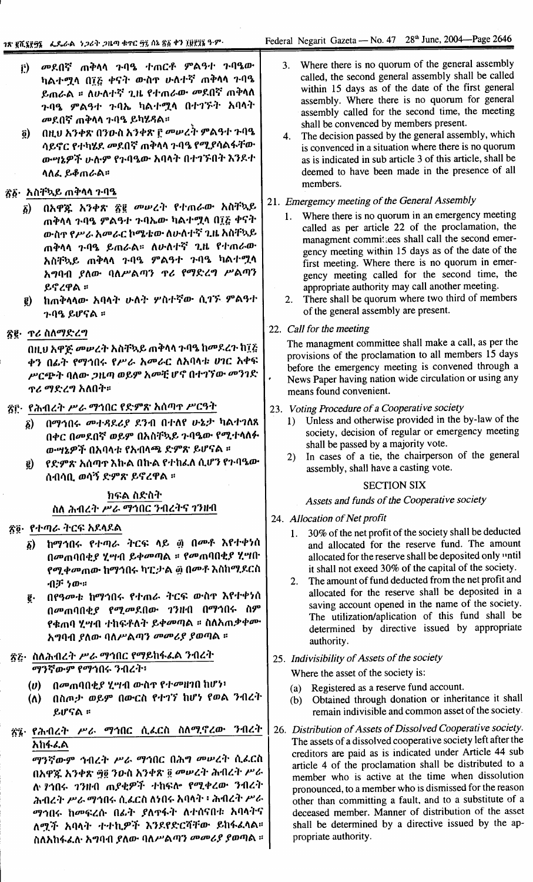- መደበኛ ጠቅሳሳ ጉባዔ ተጠርቶ ምልዓተ ጉባዔው  $\mathbf{r}$ ካልተሟላ በ፲፭ ቀናት ውስዋ ሁለተኛ ጠቅላላ ጉባዔ ይጠራል ፡፡ ለሁለተኛ ጊዜ የተጠራው መደበኛ ጠቅላለ ጉባዔ ምልዓተ ጉባኤ ካል*ተ*ሟላ በተገኙት አባላት መደበኛ ጠቅላላ ጉባዔ ይካሂዳል።
- በዚህ አንቀጽ በንዑስ አንቀጽ ፫ መሠረት ምልዓተ ጉባዔ  $\tilde{g}$ ) ሳይኖር የተካሄደ መደበኛ ጠቅላላ ጉባዔ የሚያሳልፋቸው ውሣኔዎች ሁሉም የጉባዔው አባላት በተገኙበት እንደተ ላለፌ ይቆጠራል።

# ፳፩· አስቸኳይ ጠቅላላ ጉባዔ

- በአዋጁ አንቀጽ ፳፪ መሠረት የተጠራው አስቸኳይ  $\delta$ ) ጠቅላላ ጉባዔ ምልዓተ ጉባኤው ካልተሟላ በ፲፩ ቀናት ውስዋ የሥራ አመራር ኮሜቴው ለሁለተኛ ጊዜ አስቸኳይ ጠቅሳሳ ጉባዔ ይጠራል። ለሁለተኛ ጊዜ የተጠራው አስቸኳይ ጠቅላላ ጉባዔ ምልዓተ ጉባዔ ካልተሟላ አግባብ ያለው ባለሥልጣን ዋሪ የማድረግ ሥልጣን ይኖረዋል ።
- ከጠቅላላው አባላት ሁለት ሦስተኛው ሲገኙ ምልዓተ e) ንባዔ ይሆናል ፡፡

# ፳፪· ጥሪ ስለማድረግ

በዚህ አዋጅ መሥረት አስቸኳይ ጠቅላላ ጉባዔ ከመደረጉ ከ፲፭ ቀን በፊት የማኅበሩ የሥራ አመራር ለአባላቱ ሀገር አቀፍ ሥርጭት ባለው *ጋ*ዜጣ ወይም አመቺ ሆኖ በተገኘው መንገድ *ፕሪ ማድረግ* አለበት።

- ጽሮ· የሕብረት ሥራ ማኅበር የድምጽ አሰጣዋ ሥርዓት
	- ፩) በማኅበሩ መተዳደሪያ ደንብ በተለየ ሁኔታ ካልተገለጸ በቀር በመደበኛ ወይም በአስቸኳይ ጉባዔው የሚተላለፉ ውሣኔዎች በአባላቱ የአብላጫ ድምጽ ይሆናል ፡፡
	- . የድምጽ አሰጣጥ እኩል በኩል የተከፈለ ሲሆን የጉባዔው  $\vec{e}$ ሰብሳቢ ወሳኝ ድምጽ ይኖረዋል ፡፡

# ክፍል ስድስት ስለ ሕብረት ሥራ ማኅበር ንብረትና ገንዘብ

#### ጽ፬· የተጣራ ትርፍ አደላደል

- ከማኅበሩ የተጣራ ትርፍ ላይ ፴ በሙቶ እየተቀነሰ  $\delta$ ) በመጠባበቂያ ሂሣብ ይቀመጣል ። የመጠባበቂያ ሂሣበ የሚቀመጠው ከማኅበሩ ካፒታል ፴ በመቶ እስከሚደርስ  $-03^{\circ}$  ነው።
- በየዓመቱ ከማኅበሩ የተጠራ ትርፍ ውስዋ እየተቀነሰ ą. በመጠባበቂያ የሚመደበው ገንዘብ በማኅበሩ ስም የቁጠባ ሂሣብ ተከፍቶለት ይቀመጣል ፡፡ ስለአጠቃቀሙ አግባብ ያለው ባለሥልጣን መመሪያ ያወጣል ፡፡

#### ጽ፩· ስለሕብረት ሥራ ማኅበር የማይከፋፌል ንብረት ማንኛውም የማኅበሩ ንብረት፡

- በመጠባበቂያ ሂሣብ ውስጥ የተመዘገበ ከሆነ፥  $(v)$
- በስጦታ ወይም በውርስ የተገኘ ከሆነ የወል ንብረት  $(\Lambda)$ ይሆናል ።

# ፳፯· የሕብረት ሥራ ማኅበር ሲፈርስ ስለሚኖረው ንብረት አከፋፊል

ማንኛውም ኅብረት ሥራ ማኅበር በሕግ መሠረት ሲፌርስ በአዋጁ አንቀጽ ፵፬ ንዑስ አንቀጽ ፬ መሠረት ሕብረት ሥራ ለ የኅበሩ ገንዘብ ጠያቂዎች ተከፍሎ የሚቀረው ንብረት ሕብረት ሥራ ማኅበሩ ሲፈርስ ለነበሩ አባላት ፥ ሕብረት ሥራ ማኅበሩ ከመፍረሱ በፊት ያለዋፋት ለተሰናበቱ አባላትና ለሚች አባላት ተተኪዎች እንደየድርሻቸው ይከፋፈላል። ስለአከፋፌስ አግባብ ያለው ባለሥልጣን መመሪያ ያወጣል ፡፡

- Where there is no quorum of the general assembly  $3<sub>1</sub>$ called, the second general assembly shall be called within 15 days as of the date of the first general assembly. Where there is no quorum for general assembly called for the second time, the meeting shall be convenced by members present.
- The decision passed by the general assembly, which  $4.$ is convenced in a situation where there is no quorum as is indicated in sub article 3 of this article, shall be deemed to have been made in the presence of all members.

# 21. Emergemcy meeting of the General Assembly

- Where there is no quorum in an emergency meeting  $1.$ called as per article 22 of the proclamation, the managment committees shall call the second emergency meeting within 15 days as of the date of the first meeting. Where there is no quorum in emergency meeting called for the second time, the appropriate authority may call another meeting.
- There shall be quorum where two third of members  $2.$ of the general assembly are present.
- 22. Call for the meeting

The managment committee shall make a call, as per the provisions of the proclamation to all members 15 days before the emergency meeting is convened through a News Paper having nation wide circulation or using any means found convenient.

- 23. Voting Procedure of a Cooperative society
	- Unless and otherwise provided in the by-law of the  $\mathbf{D}$ society, decision of regular or emergency meeting shall be passed by a majority vote.
	- In cases of a tie, the chairperson of the general  $2)$ assembly, shall have a casting vote.

#### **SECTION SIX**

Assets and funds of the Cooperative society

- 24. Allocation of Net profit
	- 30% of the net profit of the society shall be deducted  $1.$ and allocated for the reserve fund. The amount allocated for the reserve shall be deposited only until it shall not exeed 30% of the capital of the society.
	- The amount of fund deducted from the net profit and  $2.$ allocated for the reserve shall be deposited in a saving account opened in the name of the society. The utilization/aplication of this fund shall be determined by directive issued by appropriate authority.
- 25. Indivisibility of Assets of the society

Where the asset of the society is:

- Registered as a reserve fund account.  $(a)$
- Obtained through donation or inheritance it shall  $(b)$ remain indivisible and common asset of the society.
- 26. Distribution of Assets of Dissolved Cooperative society. The assets of a dissolved cooperative society left after the creditors are paid as is indicated under Article 44 sub article 4 of the proclamation shall be distributed to a member who is active at the time when dissolution pronounced, to a member who is dismissed for the reason other than committing a fault, and to a substitute of a deceased member. Manner of distribution of the asset shall be determined by a directive issued by the appropriate authority.